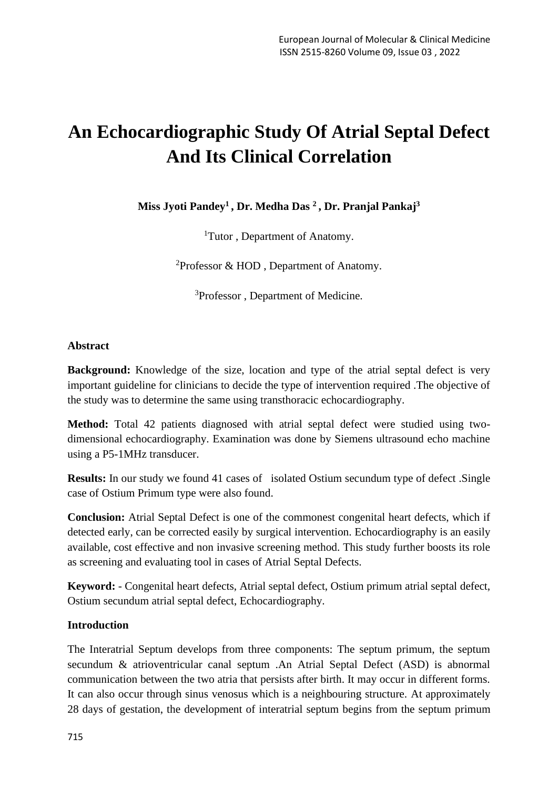# **An Echocardiographic Study Of Atrial Septal Defect And Its Clinical Correlation**

**Miss Jyoti Pandey<sup>1</sup> , Dr. Medha Das <sup>2</sup> , Dr. Pranjal Pankaj<sup>3</sup>**

<sup>1</sup>Tutor, Department of Anatomy.

<sup>2</sup>Professor & HOD , Department of Anatomy.

<sup>3</sup>Professor, Department of Medicine.

#### **Abstract**

**Background:** Knowledge of the size, location and type of the atrial septal defect is very important guideline for clinicians to decide the type of intervention required .The objective of the study was to determine the same using transthoracic echocardiography.

**Method:** Total 42 patients diagnosed with atrial septal defect were studied using twodimensional echocardiography. Examination was done by Siemens ultrasound echo machine using a P5-1MHz transducer.

**Results:** In our study we found 41 cases of isolated Ostium secundum type of defect .Single case of Ostium Primum type were also found.

**Conclusion:** Atrial Septal Defect is one of the commonest congenital heart defects, which if detected early, can be corrected easily by surgical intervention. Echocardiography is an easily available, cost effective and non invasive screening method. This study further boosts its role as screening and evaluating tool in cases of Atrial Septal Defects.

**Keyword:** - Congenital heart defects, Atrial septal defect, Ostium primum atrial septal defect, Ostium secundum atrial septal defect, Echocardiography.

#### **Introduction**

The Interatrial Septum develops from three components: The septum primum, the septum secundum & atrioventricular canal septum .An Atrial Septal Defect (ASD) is abnormal communication between the two atria that persists after birth. It may occur in different forms. It can also occur through sinus venosus which is a neighbouring structure. At approximately 28 days of gestation, the development of interatrial septum begins from the septum primum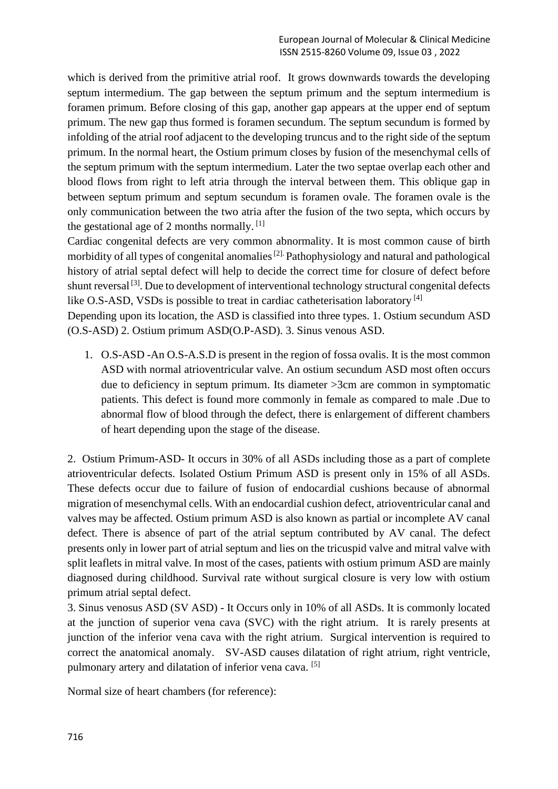which is derived from the primitive atrial roof. It grows downwards towards the developing septum intermedium. The gap between the septum primum and the septum intermedium is foramen primum. Before closing of this gap, another gap appears at the upper end of septum primum. The new gap thus formed is foramen secundum. The septum secundum is formed by infolding of the atrial roof adjacent to the developing truncus and to the right side of the septum primum. In the normal heart, the Ostium primum closes by fusion of the mesenchymal cells of the septum primum with the septum intermedium. Later the two septae overlap each other and blood flows from right to left atria through the interval between them. This oblique gap in between septum primum and septum secundum is foramen ovale. The foramen ovale is the only communication between the two atria after the fusion of the two septa, which occurs by the gestational age of 2 months normally.  $[1]$ 

Cardiac congenital defects are very common abnormality. It is most common cause of birth morbidity of all types of congenital anomalies<sup>[2].</sup> Pathophysiology and natural and pathological history of atrial septal defect will help to decide the correct time for closure of defect before shunt reversal [3]. Due to development of interventional technology structural congenital defects like O.S-ASD, VSDs is possible to treat in cardiac catheterisation laboratory  $^{[4]}$ 

Depending upon its location, the ASD is classified into three types. 1. Ostium secundum ASD (O.S-ASD) 2. Ostium primum ASD(O.P-ASD). 3. Sinus venous ASD.

1. O.S-ASD -An O.S-A.S.D is present in the region of fossa ovalis. It is the most common ASD with normal atrioventricular valve. An ostium secundum ASD most often occurs due to deficiency in septum primum. Its diameter >3cm are common in symptomatic patients. This defect is found more commonly in female as compared to male .Due to abnormal flow of blood through the defect, there is enlargement of different chambers of heart depending upon the stage of the disease.

2. Ostium Primum-ASD- It occurs in 30% of all ASDs including those as a part of complete atrioventricular defects. Isolated Ostium Primum ASD is present only in 15% of all ASDs. These defects occur due to failure of fusion of endocardial cushions because of abnormal migration of mesenchymal cells. With an endocardial cushion defect, atrioventricular canal and valves may be affected. Ostium primum ASD is also known as partial or incomplete AV canal defect. There is absence of part of the atrial septum contributed by AV canal. The defect presents only in lower part of atrial septum and lies on the tricuspid valve and mitral valve with split leaflets in mitral valve. In most of the cases, patients with ostium primum ASD are mainly diagnosed during childhood. Survival rate without surgical closure is very low with ostium primum atrial septal defect.

3. Sinus venosus ASD (SV ASD) - It Occurs only in 10% of all ASDs. It is commonly located at the junction of superior vena cava (SVC) with the right atrium. It is rarely presents at junction of the inferior vena cava with the right atrium. Surgical intervention is required to correct the anatomical anomaly. SV-ASD causes dilatation of right atrium, right ventricle, pulmonary artery and dilatation of inferior vena cava. [5]

Normal size of heart chambers (for reference):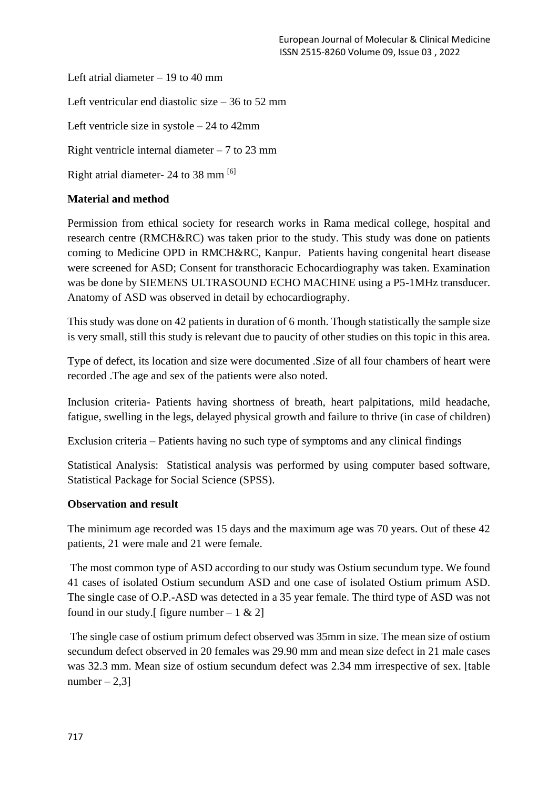Left atrial diameter  $-19$  to 40 mm Left ventricular end diastolic size – 36 to 52 mm Left ventricle size in systole – 24 to 42mm Right ventricle internal diameter  $-7$  to 23 mm Right atrial diameter- 24 to 38 mm [6]

## **Material and method**

Permission from ethical society for research works in Rama medical college, hospital and research centre (RMCH&RC) was taken prior to the study. This study was done on patients coming to Medicine OPD in RMCH&RC, Kanpur. Patients having congenital heart disease were screened for ASD; Consent for transthoracic Echocardiography was taken. Examination was be done by SIEMENS ULTRASOUND ECHO MACHINE using a P5-1MHz transducer. Anatomy of ASD was observed in detail by echocardiography.

This study was done on 42 patients in duration of 6 month. Though statistically the sample size is very small, still this study is relevant due to paucity of other studies on this topic in this area.

Type of defect, its location and size were documented .Size of all four chambers of heart were recorded .The age and sex of the patients were also noted.

Inclusion criteria- Patients having shortness of breath, heart palpitations, mild headache, fatigue, swelling in the legs, delayed physical growth and failure to thrive (in case of children)

Exclusion criteria – Patients having no such type of symptoms and any clinical findings

Statistical Analysis: Statistical analysis was performed by using computer based software, Statistical Package for Social Science (SPSS).

#### **Observation and result**

The minimum age recorded was 15 days and the maximum age was 70 years. Out of these 42 patients, 21 were male and 21 were female.

The most common type of ASD according to our study was Ostium secundum type. We found 41 cases of isolated Ostium secundum ASD and one case of isolated Ostium primum ASD. The single case of O.P.-ASD was detected in a 35 year female. The third type of ASD was not found in our study. [ figure number  $-1 \& 2$ ]

The single case of ostium primum defect observed was 35mm in size. The mean size of ostium secundum defect observed in 20 females was 29.90 mm and mean size defect in 21 male cases was 32.3 mm. Mean size of ostium secundum defect was 2.34 mm irrespective of sex. [table  $number-2,3$ ]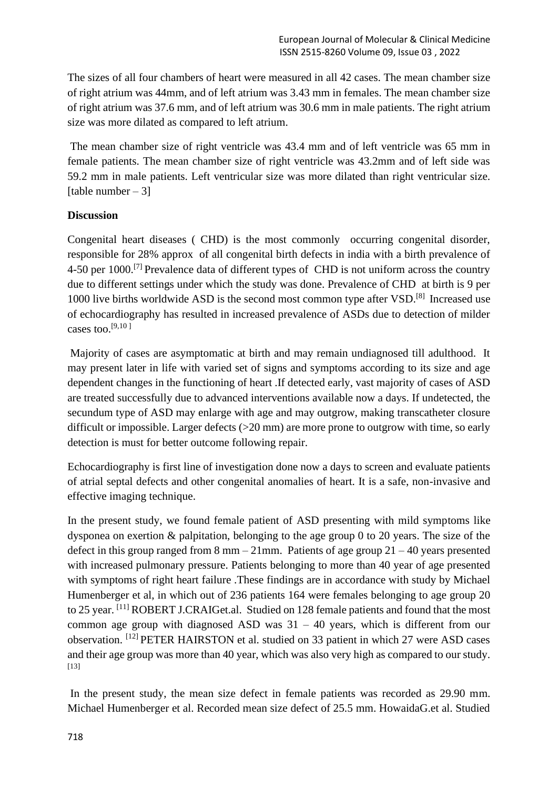The sizes of all four chambers of heart were measured in all 42 cases. The mean chamber size of right atrium was 44mm, and of left atrium was 3.43 mm in females. The mean chamber size of right atrium was 37.6 mm, and of left atrium was 30.6 mm in male patients. The right atrium size was more dilated as compared to left atrium.

The mean chamber size of right ventricle was 43.4 mm and of left ventricle was 65 mm in female patients. The mean chamber size of right ventricle was 43.2mm and of left side was 59.2 mm in male patients. Left ventricular size was more dilated than right ventricular size. [table number  $-31$ ]

#### **Discussion**

Congenital heart diseases ( CHD) is the most commonly occurring congenital disorder, responsible for 28% approx of all congenital birth defects in india with a birth prevalence of 4-50 per 1000.<sup>[7]</sup> Prevalence data of different types of CHD is not uniform across the country due to different settings under which the study was done. Prevalence of CHD at birth is 9 per 1000 live births worldwide ASD is the second most common type after VSD.[8] Increased use of echocardiography has resulted in increased prevalence of ASDs due to detection of milder cases too. $[9,10]$ 

Majority of cases are asymptomatic at birth and may remain undiagnosed till adulthood. It may present later in life with varied set of signs and symptoms according to its size and age dependent changes in the functioning of heart .If detected early, vast majority of cases of ASD are treated successfully due to advanced interventions available now a days. If undetected, the secundum type of ASD may enlarge with age and may outgrow, making transcatheter closure difficult or impossible. Larger defects ( $>20$  mm) are more prone to outgrow with time, so early detection is must for better outcome following repair.

Echocardiography is first line of investigation done now a days to screen and evaluate patients of atrial septal defects and other congenital anomalies of heart. It is a safe, non-invasive and effective imaging technique.

In the present study, we found female patient of ASD presenting with mild symptoms like dysponea on exertion & palpitation, belonging to the age group 0 to 20 years. The size of the defect in this group ranged from  $8 \text{ mm} - 21 \text{ mm}$ . Patients of age group  $21 - 40$  years presented with increased pulmonary pressure. Patients belonging to more than 40 year of age presented with symptoms of right heart failure. These findings are in accordance with study by Michael Humenberger et al, in which out of 236 patients 164 were females belonging to age group 20 to 25 year. <sup>[11]</sup> ROBERT J.CRAIGet.al. Studied on 128 female patients and found that the most common age group with diagnosed ASD was  $31 - 40$  years, which is different from our observation. [12] PETER HAIRSTON et al. studied on 33 patient in which 27 were ASD cases and their age group was more than 40 year, which was also very high as compared to our study. [13]

In the present study, the mean size defect in female patients was recorded as 29.90 mm. Michael Humenberger et al. Recorded mean size defect of 25.5 mm. HowaidaG.et al. Studied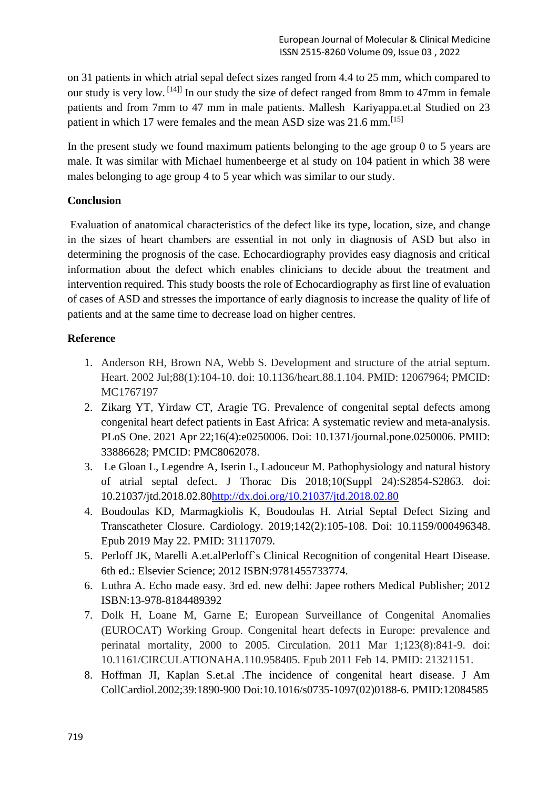on 31 patients in which atrial sepal defect sizes ranged from 4.4 to 25 mm, which compared to our study is very low. [14]] In our study the size of defect ranged from 8mm to 47mm in female patients and from 7mm to 47 mm in male patients. Mallesh Kariyappa.et.al Studied on 23 patient in which 17 were females and the mean ASD size was 21.6 mm.<sup>[15]</sup>

In the present study we found maximum patients belonging to the age group 0 to 5 years are male. It was similar with Michael humenbeerge et al study on 104 patient in which 38 were males belonging to age group 4 to 5 year which was similar to our study.

## **Conclusion**

Evaluation of anatomical characteristics of the defect like its type, location, size, and change in the sizes of heart chambers are essential in not only in diagnosis of ASD but also in determining the prognosis of the case. Echocardiography provides easy diagnosis and critical information about the defect which enables clinicians to decide about the treatment and intervention required. This study boosts the role of Echocardiography as first line of evaluation of cases of ASD and stresses the importance of early diagnosis to increase the quality of life of patients and at the same time to decrease load on higher centres.

## **Reference**

- 1. Anderson RH, Brown NA, Webb S. Development and structure of the atrial septum. Heart. 2002 Jul;88(1):104-10. doi: 10.1136/heart.88.1.104. PMID: 12067964; PMCID: MC1767197
- 2. Zikarg YT, Yirdaw CT, Aragie TG. Prevalence of congenital septal defects among congenital heart defect patients in East Africa: A systematic review and meta-analysis. PLoS One. 2021 Apr 22;16(4):e0250006. Doi: 10.1371/journal.pone.0250006. PMID: 33886628; PMCID: PMC8062078.
- 3. Le Gloan L, Legendre A, Iserin L, Ladouceur M. Pathophysiology and natural history of atrial septal defect. J Thorac Dis 2018;10(Suppl 24):S2854-S2863. doi: 10.21037/jtd.2018.02.8[0http://dx.doi.org/10.21037/jtd.2018.02.80](http://dx.doi.org/10.21037/jtd.2018.02.80)
- 4. Boudoulas KD, Marmagkiolis K, Boudoulas H. Atrial Septal Defect Sizing and Transcatheter Closure. Cardiology. 2019;142(2):105-108. Doi: 10.1159/000496348. Epub 2019 May 22. PMID: 31117079.
- 5. Perloff JK, Marelli A.et.alPerloff`s Clinical Recognition of congenital Heart Disease. 6th ed.: Elsevier Science; 2012 ISBN:9781455733774.
- 6. Luthra A. Echo made easy. 3rd ed. new delhi: Japee rothers Medical Publisher; 2012 ISBN:13-978-8184489392
- 7. Dolk H, Loane M, Garne E; European Surveillance of Congenital Anomalies (EUROCAT) Working Group. Congenital heart defects in Europe: prevalence and perinatal mortality, 2000 to 2005. Circulation. 2011 Mar 1;123(8):841-9. doi: 10.1161/CIRCULATIONAHA.110.958405. Epub 2011 Feb 14. PMID: 21321151.
- 8. Hoffman JI, Kaplan S.et.al .The incidence of congenital heart disease. J Am CollCardiol.2002;39:1890-900 Doi:10.1016/s0735-1097(02)0188-6. PMID:12084585